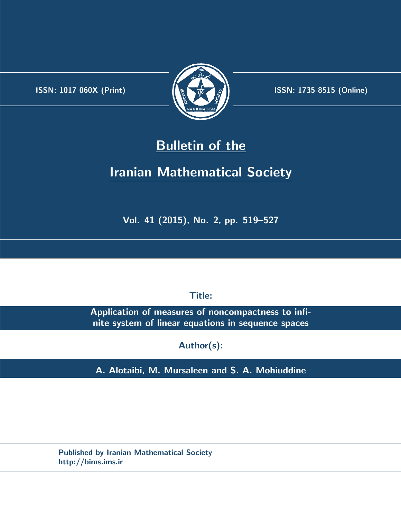.



**ISSN:** 1017-060X (Print)  $\left\{\begin{matrix} \frac{1}{2} & \frac{1}{2} & \frac{1}{2} \\ \frac{1}{2} & \frac{1}{2} & \frac{1}{2} \end{matrix}\right\}$  ISSN: 1735-8515 (Online)

## **Bulletin of the**

# **Iranian Mathematical Society**

**Vol. 41 (2015), No. 2, pp. 519–527**

**Title:**

**Application of measures of noncompactness to infinite system of linear equations in sequence spaces**

**Author(s):**

**A. Alotaibi, M. Mursaleen and S. A. Mohiuddine**

**Published by Iranian Mathematical Society http://bims.ims.ir**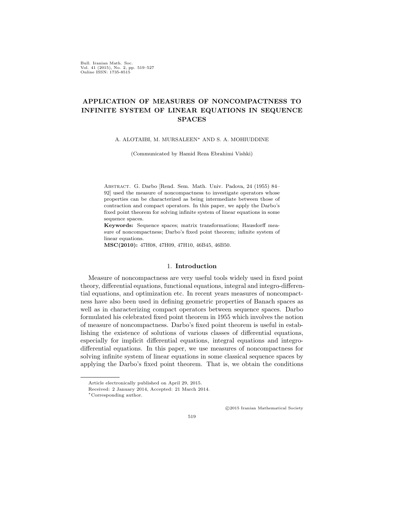Bull. Iranian Math. Soc. Vol. 41 (2015), No. 2, pp. 519–527 Online ISSN: 1735-8515

### **APPLICATION OF MEASURES OF NONCOMPACTNESS TO INFINITE SYSTEM OF LINEAR EQUATIONS IN SEQUENCE SPACES**

A. ALOTAIBI, M. MURSALEEN*∗* AND S. A. MOHIUDDINE

(Communicated by Hamid Reza Ebrahimi Vishki)

Abstract. G. Darbo [Rend. Sem. Math. Univ. Padova, 24 (1955) 84– 92] used the measure of noncompactness to investigate operators whose properties can be characterized as being intermediate between those of contraction and compact operators. In this paper, we apply the Darbo's fixed point theorem for solving infinite system of linear equations in some sequence spaces.

**Keywords:** Sequence spaces; matrix transformations; Hausdorff measure of noncompactness; Darbo's fixed point theorem; infinite system of linear equations.

**MSC(2010):** 47H08, 47H09, 47H10, 46B45, 46B50.

### 1. **Introduction**

Measure of noncompactness are very useful tools widely used in fixed point theory, differential equations, functional equations, integral and integro-differential equations, and optimization etc. In recent years measures of noncompactness have also been used in defining geometric properties of Banach spaces as well as in characterizing compact operators between sequence spaces. Darbo formulated his celebrated fixed point theorem in 1955 which involves the notion of measure of noncompactness. Darbo's fixed point theorem is useful in establishing the existence of solutions of various classes of differential equations, especially for implicit differential equations, integral equations and integrodifferential equations. In this paper, we use measures of noncompactness for solving infinite system of linear equations in some classical sequence spaces by applying the Darbo's fixed point theorem. That is, we obtain the conditions

*⃝*c 2015 Iranian Mathematical Society

519

Article electronically published on April 29, 2015.

Received: 2 January 2014, Accepted: 21 March 2014.

*<sup>∗</sup>*Corresponding author.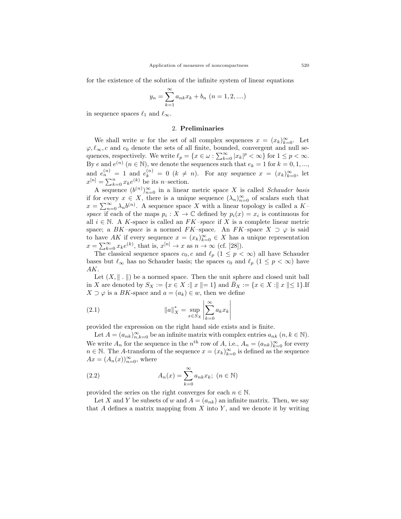for the existence of the solution of the infinite system of linear equations

$$
y_n = \sum_{k=1}^{\infty} a_{nk} x_k + b_n \ (n = 1, 2, ....)
$$

in sequence spaces  $\ell_1$  and  $\ell_\infty$ .

#### 2. **Preliminaries**

We shall write *w* for the set of all complex sequences  $x = (x_k)_{k=0}^{\infty}$ . Let  $\varphi, \ell_\infty, c$  and  $c_0$  denote the sets of all finite, bounded, convergent and null sequences, respectively. We write  $\ell_p = \{x \in \omega : \sum_{k=0}^{\infty} |x_k|^p < \infty\}$  for  $1 \leq p < \infty$ . By *e* and  $e^{(n)}$   $(n \in \mathbb{N})$ , we denote the sequences such that  $e_k = 1$  for  $k = 0, 1, \ldots$ , and  $e_n^{(n)} = 1$  and  $e_k^{(n)} = 0$  ( $k \neq n$ ). For any sequence  $x = (x_k)_{k=0}^{\infty}$ , let  $x^{[n]} = \sum_{k=0}^{n} x_k e^{(k)}$  be its *n*–section.

A sequence  $(b^{(n)})_{n=0}^{\infty}$  in a linear metric space X is called *Schauder basis* if for every  $x \in X$ , there is a unique sequence  $(\lambda_n)_{n=0}^{\infty}$  of scalars such that  $x = \sum_{n=0}^{\infty} \lambda_n b^{(n)}$ . A sequence space *X* with a linear topology is called a *K–* space if each of the maps  $p_i: X \to \mathbb{C}$  defined by  $p_i(x) = x_i$  is continuous for all  $i \in \mathbb{N}$ . A *K*-space is called an  $FK$ -space if X is a complete linear metric space; a *BK*–space is a normed *FK*–space. An *FK*–space  $X \supset \varphi$  is said to have AK if every sequence  $x = (x_k)_{k=0}^{\infty} \in X$  has a unique representation  $x = \sum_{k=0}^{\infty} x_k e^{(k)}$ , that is,  $x^{[n]} \to x$  as  $n \to \infty$  (cf. [\[28](#page-9-0)]).

The classical sequence spaces  $c_0$ , c and  $\ell_p$  ( $1 \leq p < \infty$ ) all have Schauder bases but  $\ell_{\infty}$  has no Schauder basis; the spaces  $c_0$  and  $\ell_p$  ( $1 \leq p < \infty$ ) have *AK*.

Let  $(X, \|\cdot\|)$  be a normed space. Then the unit sphere and closed unit ball in X are denoted by  $S_X := \{x \in X : ||x|| = 1\}$  and  $B_X := \{x \in X : ||x|| \le 1\}$ . If  $X \supset \varphi$  is a *BK*-space and  $a = (a_k) \in w$ , then we define

(2.1) 
$$
\|a\|_{X}^{*} = \sup_{x \in S_{X}} \left| \sum_{k=0}^{\infty} a_{k} x_{k} \right|
$$

provided the expression on the right hand side exists and is finite.

Let  $A = (a_{nk})_{n,k=0}^{\infty}$  be an infinite matrix with complex entries  $a_{nk}$   $(n, k \in \mathbb{N})$ . We write  $A_n$  for the sequence in the  $n^{\text{th}}$  row of  $A$ , i.e.,  $A_n = (a_{nk})_{k=0}^{\infty}$  for every *n* ∈ N. The *A*-transform of the sequence  $x = (x_k)_{k=0}^{\infty}$  is defined as the sequence  $Ax = (A_n(x))_{n=0}^{\infty}$ , where

(2.2) 
$$
A_n(x) = \sum_{k=0}^{\infty} a_{nk} x_k; \ (n \in \mathbb{N})
$$

provided the series on the right converges for each  $n \in \mathbb{N}$ .

Let *X* and *Y* be subsets of *w* and  $A = (a_{nk})$  an infinite matrix. Then, we say that *A* defines a matrix mapping from *X* into *Y* , and we denote it by writing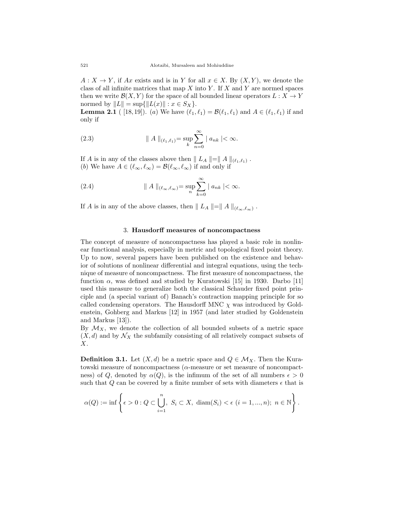$A: X \to Y$ , if *Ax* exists and is in *Y* for all  $x \in X$ . By  $(X, Y)$ , we denote the class of all infinite matrices that map *X* into *Y* . If *X* and *Y* are normed spaces then we write  $\mathcal{B}(X, Y)$  for the space of all bounded linear operators  $L: X \to Y$  $\text{normed by } ||L|| = \sup{||L(x)|| : x \in S_X}.$ 

**Lemma 2.1** ( [\[18](#page-8-0),[19\]](#page-8-1)). (*a*) We have  $(\ell_1, \ell_1) = \mathcal{B}(\ell_1, \ell_1)$  and  $A \in (\ell_1, \ell_1)$  if and only if

(2.3) 
$$
\| A \|_{(\ell_1,\ell_1)} = \sup_{k} \sum_{n=0}^{\infty} |a_{nk}| < \infty.
$$

If *A* is in any of the classes above then  $|| L_A || = || A ||_{(\ell_1, \ell_1)}$ . (*b*) We have  $A \in (\ell_{\infty}, \ell_{\infty}) = \mathcal{B}(\ell_{\infty}, \ell_{\infty})$  if and only if

(2.4) 
$$
\| A \|_{(\ell_{\infty}, \ell_{\infty})} = \sup_{n} \sum_{k=0}^{\infty} |a_{nk}| < \infty.
$$

If *A* is in any of the above classes, then  $|| L_A || = || A ||_{(\ell_{\infty}, \ell_{\infty})}$ .

#### 3. **Hausdorff measures of noncompactness**

The concept of measure of noncompactness has played a basic role in nonlinear functional analysis, especially in metric and topological fixed point theory. Up to now, several papers have been published on the existence and behavior of solutions of nonlinear differential and integral equations, using the technique of measure of noncompactness. The first measure of noncompactness, the function  $\alpha$ , was defined and studied by Kuratowski [[15\]](#page-8-2) in 1930. Darbo [\[11](#page-8-3)] used this measure to generalize both the classical Schauder fixed point principle and (a special variant of) Banach's contraction mapping principle for so called condensing operators. The Hausdorff MNC  $\chi$  was introduced by Goldenstein, Gohberg and Markus [[12\]](#page-8-4) in 1957 (and later studied by Goldenstein and Markus [\[13](#page-8-5)]).

By  $\mathcal{M}_X$ , we denote the collection of all bounded subsets of a metric space  $(X, d)$  and by  $\mathcal{N}_X$  the subfamily consisting of all relatively compact subsets of *X*.

**Definition 3.1.** Let  $(X, d)$  be a metric space and  $Q \in \mathcal{M}_X$ . Then the Kuratowski measure of noncompactness (*α*-measure or set measure of noncompactness) of *Q*, denoted by  $\alpha(Q)$ , is the infimum of the set of all numbers  $\epsilon > 0$ such that  $Q$  can be covered by a finite number of sets with diameters  $\epsilon$  that is

$$
\alpha(Q) := \inf \left\{ \epsilon > 0 : Q \subset \bigcup_{i=1}^n, S_i \subset X, \ \operatorname{diam}(S_i) < \epsilon \ (i = 1, ..., n); \ n \in \mathbb{N} \right\}.
$$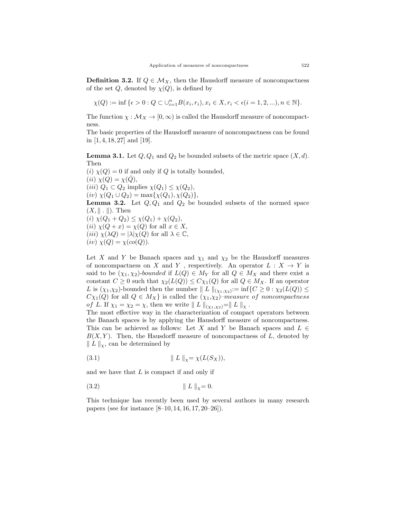**Definition 3.2.** If  $Q \in M_X$ , then the Hausdorff measure of noncompactness of the set  $Q$ , denoted by  $\chi(Q)$ , is defined by

$$
\chi(Q):=\inf\big\{\epsilon>0:Q\subset\cup_{i=1}^nB(x_i,r_i),x_i\in X,r_i<\epsilon(i=1,2,...),n\in\mathbb{N}\big\}.
$$

The function  $\chi : \mathcal{M}_X \to [0, \infty)$  is called the Hausdorff measure of noncompactness.

The basic properties of the Hausdorff measure of noncompactness can be found in [\[1](#page-7-0), [4,](#page-7-1) [18,](#page-8-0) [27\]](#page-8-6) and [[19\]](#page-8-1).

**Lemma 3.1.** Let  $Q$ ,  $Q_1$  and  $Q_2$  be bounded subsets of the metric space  $(X, d)$ . Then

 $(i) \chi(Q) = 0$  if and only if *Q* is totally bounded,  $(iii)$   $\chi(Q) = \chi(\overline{Q}),$  $(iii)$   $Q_1 \subset Q_2$  implies  $\chi(Q_1) \leq \chi(Q_2)$ ,  $(iv) \chi(Q_1 \cup Q_2) = \max\{\chi(Q_1), \chi(Q_2)\},\$ **Lemma 3.2.** Let  $Q, Q_1$  and  $Q_2$  be bounded subsets of the normed space (*X, ∥ . ∥*)*.* Then  $\chi(Q_1 + Q_2) \leq \chi(Q_1) + \chi(Q_2),$  $(iii) \chi(Q+x) = \chi(Q)$  for all  $x \in X$ ,  $(iii) \chi(\lambda Q) = |\lambda|\chi(Q)$  for all  $\lambda \in \mathbb{C}$ ,  $(iv) \ \chi(Q) = \chi(co(Q)).$ 

Let *X* and *Y* be Banach spaces and  $\chi_1$  and  $\chi_2$  be the Hausdorff measures of noncompactness on *X* and *Y*, respectively. An operator  $L: X \rightarrow Y$  is said to be  $(\chi_1, \chi_2)$ -*bounded* if  $L(Q) \in M_Y$  for all  $Q \in M_X$  and there exist a constant  $C \geq 0$  such that  $\chi_2(L(Q)) \leq C\chi_1(Q)$  for all  $Q \in M_X$ . If an operator *L* is  $(\chi_1, \chi_2)$ -bounded then the number  $|| L ||_{(\chi_1, \chi_2)} := \inf \{ C \geq 0 : \chi_2(L(Q)) \leq$  $C\chi_1(Q)$  for all  $Q \in M_X$  is called the  $(\chi_1, \chi_2)$ –*measure of noncompactness of L.* If  $\chi_1 = \chi_2 = \chi$ , then we write  $|| L ||_{(\chi_1, \chi_2)} = || L ||_{\chi}$ .

The most effective way in the characterization of compact operators between the Banach spaces is by applying the Hausdorff measure of noncompactness. This can be achieved as follows: Let *X* and *Y* be Banach spaces and  $L \in$  $B(X, Y)$ . Then, the Hausdorff measure of noncompactness of  $L$ , denoted by *∥ L ∥χ*, can be determined by

(3*.*1) *∥ L ∥χ*= *χ*(*L*(*SX*))*,*

and we have that *L* is compact if and only if

(3*.*2) *∥ L ∥χ*= 0*.*

This technique has recently been used by several authors in many research papers (see for instance [[8–](#page-8-7)[10,](#page-8-8) [14,](#page-8-9) [16,](#page-8-10) [17,](#page-8-11) [20–](#page-8-12)[26\]](#page-8-13)).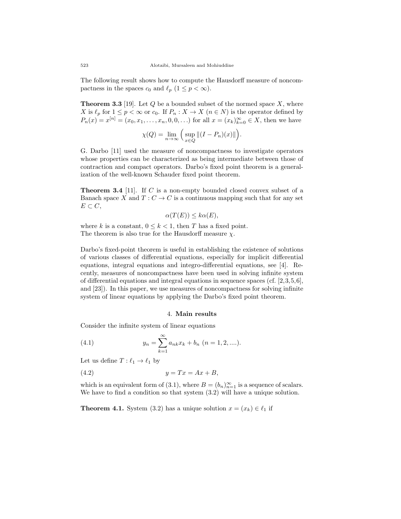The following result shows how to compute the Hausdorff measure of noncompactness in the spaces  $c_0$  and  $\ell_p$  ( $1 \leq p < \infty$ ).

**Theorem 3.3** [[19\]](#page-8-1). Let *Q* be a bounded subset of the normed space *X*, where *X* is  $\ell_p$  for  $1 \leq p < \infty$  or  $c_0$ . If  $P_n: X \to X$   $(n \in N)$  is the operator defined by  $P_n(x) = x^{[n]} = (x_0, x_1, \dots, x_n, 0, 0, \dots)$  for all  $x = (x_k)_{k=0}^{\infty} \in X$ , then we have

$$
\chi(Q) = \lim_{n \to \infty} \Big( \sup_{x \in Q} \|(I - P_n)(x)\| \Big).
$$

G. Darbo [\[11](#page-8-3)] used the measure of noncompactness to investigate operators whose properties can be characterized as being intermediate between those of contraction and compact operators. Darbo's fixed point theorem is a generalization of the well-known Schauder fixed point theorem.

**Theorem 3.4** [\[11](#page-8-3)]. If *C* is a non-empty bounded closed convex subset of a Banach space *X* and  $T: C \to C$  is a continuous mapping such that for any set  $E$  ⊂  $C$ ,

$$
\alpha(T(E)) \le k\alpha(E),
$$

where *k* is a constant,  $0 \leq k < 1$ , then *T* has a fixed point. The theorem is also true for the Hausdorff measure  $\chi$ .

Darbo's fixed-point theorem is useful in establishing the existence of solutions of various classes of differential equations, especially for implicit differential equations, integral equations and integro-differential equations, see [\[4](#page-7-1)]. Recently, measures of noncompactness have been used in solving infinite system of differential equations and integral equations in sequence spaces (cf. [[2](#page-7-2),[3,](#page-7-3)[5](#page-7-4),[6\]](#page-7-5), and [[23](#page-8-14)]). In this paper, we use measures of noncompactness for solving infinite system of linear equations by applying the Darbo's fixed point theorem.

#### 4. **Main results**

Consider the infinite system of linear equations

(4.1) 
$$
y_n = \sum_{k=1}^{\infty} a_{nk} x_k + b_n \ (n = 1, 2, ....).
$$

Let us define  $T: \ell_1 \to \ell_1$  by

$$
(4.2) \t\t y = Tx = Ax + B,
$$

which is an equivalent form of (3.1), where  $B = (b_n)_{n=1}^{\infty}$  is a sequence of scalars. We have to find a condition so that system (3.2) will have a unique solution.

**Theorem 4.1.** System (3.2) has a unique solution  $x = (x_k) \in \ell_1$  if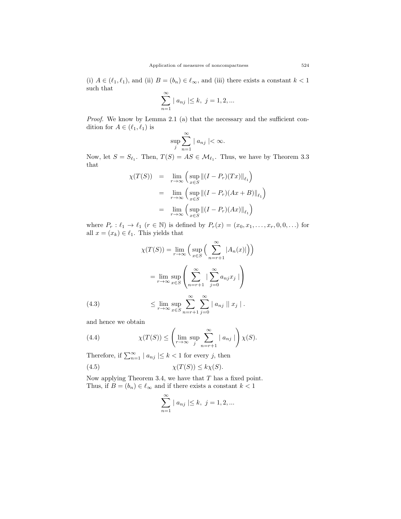(i)  $A \in (\ell_1, \ell_1)$ , and (ii)  $B = (b_n) \in \ell_\infty$ , and (iii) there exists a constant  $k < 1$ such that

$$
\sum_{n=1}^{\infty} | a_{nj} | \leq k, \ j = 1, 2, \dots
$$

*Proof.* We know by Lemma 2.1 (a) that the necessary and the sufficient condition for  $A \in (\ell_1, \ell_1)$  is

$$
\sup_j \sum_{n=1}^{\infty} |a_{nj}| < \infty.
$$

Now, let  $S = S_{\ell_1}$ . Then,  $T(S) = AS \in \mathcal{M}_{\ell_1}$ . Thus, we have by Theorem 3.3 that

$$
\chi(T(S)) = \lim_{r \to \infty} \left( \sup_{x \in S} \left\| (I - P_r)(Tx) \right\|_{\ell_1} \right)
$$
  
\n
$$
= \lim_{r \to \infty} \left( \sup_{x \in S} \left\| (I - P_r)(Ax + B) \right\|_{\ell_1} \right)
$$
  
\n
$$
= \lim_{r \to \infty} \left( \sup_{x \in S} \left\| (I - P_r)(Ax) \right\|_{\ell_1} \right)
$$

where  $P_r: \ell_1 \to \ell_1$  ( $r \in \mathbb{N}$ ) is defined by  $P_r(x) = (x_0, x_1, \ldots, x_r, 0, 0, \ldots)$  for all  $x = (x_k) \in \ell_1$ . This yields that

$$
\chi(T(S)) = \lim_{r \to \infty} \left( \sup_{x \in S} \left( \sum_{n=r+1}^{\infty} |A_n(x)| \right) \right)
$$

$$
= \lim_{r \to \infty} \sup_{x \in S} \left( \sum_{n=r+1}^{\infty} | \sum_{j=0}^{\infty} a_{nj} x_j | \right)
$$

$$
\leq \lim_{r \to \infty} \sup_{x \in S} \sum_{n=r+1}^{\infty} \sum_{j=0}^{\infty} |a_{nj}| |x_j|.
$$
(4.3)

and hence we obtain

(4.4) 
$$
\chi(T(S)) \leq \left(\lim_{r \to \infty} \sup_j \sum_{n=r+1}^{\infty} |a_{nj}| \right) \chi(S).
$$

Therefore, if  $\sum_{n=1}^{\infty} |a_{nj}| \leq k < 1$  for every *j*, then

(4.5) 
$$
\chi(T(S)) \leq k\chi(S).
$$

Now applying Theorem 3.4, we have that *T* has a fixed point. Thus, if  $B = (b_n) \in \ell_\infty$  and if there exists a constant  $k < 1$ 

$$
\sum_{n=1}^{\infty} |a_{nj}| \le k, \ j = 1, 2, ...
$$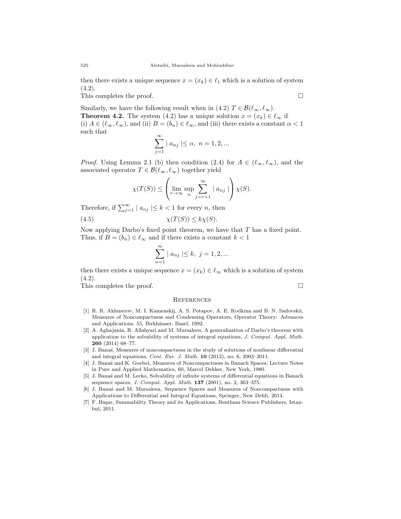then there exists a unique sequence  $x = (x_k) \in \ell_1$  which is a solution of system  $(4.2).$ 

This completes the proof. □

Similarly, we have the following result when in (4.2)  $T \in \mathcal{B}(\ell_{\infty}, \ell_{\infty})$ . **Theorem 4.2.** The system (4.2) has a unique solution  $x = (x_k) \in \ell_\infty$  if (i)  $A \in (\ell_{\infty}, \ell_{\infty})$ , and (ii)  $B = (b_n) \in \ell_{\infty}$ , and (iii) there exists a constant  $\alpha < 1$ such that

$$
\sum_{j=1}^{\infty} | a_{nj} | \le \alpha, \ n = 1, 2, ...
$$

*Proof.* Using Lemma 2.1 (b) then condition (2.4) for  $A \in (\ell_{\infty}, \ell_{\infty})$ , and the associated operator  $T \in \mathcal{B}(\ell_{\infty}, \ell_{\infty})$  together yield

$$
\chi(T(S)) \leq \left(\lim_{r \to \infty} \sup_n \sum_{j=r+1}^{\infty} |a_{nj}| \right) \chi(S).
$$

Therefore, if  $\sum_{j=1}^{\infty} |a_{nj}| \leq k < 1$  for every *n*, then

$$
(4.5) \t\t \chi(T(S)) \le k\chi(S).
$$

Now applying Darbo's fixed point theorem, we have that *T* has a fixed point. Thus, if  $B = (b_n) \in \ell_\infty$  and if there exists a constant  $k < 1$ 

$$
\sum_{n=1}^{\infty} | a_{nj} | \leq k, \ j = 1, 2, \dots
$$

then there exists a unique sequence  $x = (x_k) \in \ell_\infty$  which is a solution of system  $(4.2).$ 

This completes the proof. □

#### **REFERENCES**

- <span id="page-7-0"></span>[1] R. R. Akhmerov, M. I. Kamenskij, A. S. Potapov, A. E. Rodkina and B. N. Sadovskii, Measures of Noncompactness and Condensing Operators, Operator Theory: Advances and Applications, 55, Birkhäuser, Basel, 1992.
- <span id="page-7-2"></span>[2] A. Aghajania, R. Allahyari and M. Mursaleen, A generalization of Darbo's theorem with application to the solvability of systems of integral equations, *J. Comput. Appl. Math.* **260** (2014) 68–77.
- <span id="page-7-3"></span>[3] J. Banas, Measures of noncompactness in the study of solutions of nonlinear differential and integral equations, *Cent. Eur. J. Math.* **10** (2012), no. 6, 2003–2011.
- <span id="page-7-1"></span>[4] J. Bana´s and K. Goebel, Measures of Noncompactness in Banach Spaces, Lecture Notes in Pure and Applied Mathematics, 60, Marcel Dekker, New York, 1980.
- <span id="page-7-4"></span>[5] J. Banas´ and M. Lecko, Solvability of infinite systems of differential equations in Banach sequence spaces, *J. Comput. Appl. Math.* **137** (2001), no. 2, 363–375.
- <span id="page-7-5"></span>[6] J. Banas´ and M. Mursaleen, Sequence Spaces and Measures of Noncompactness with Applications to Differential and Integral Equations, Springer, New Dehli, 2014.
- [7] F. Başar, Summability Theory and its Applications, Bentham Science Publishers, Istanbul, 2011.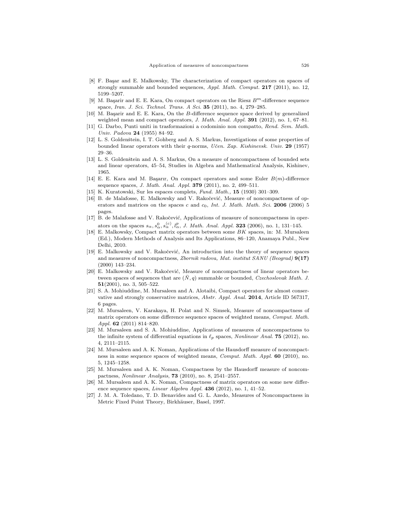- <span id="page-8-7"></span>[8] F. Başar and E. Malkowsky, The characterization of compact operators on spaces of strongly summable and bounded sequences, *Appl. Math. Comput.* **217** (2011), no. 12, 5199–5207.
- [9] M. Başarir and E. E. Kara, On compact operators on the Riesz  $B<sup>m</sup>$ -difference sequence space, *Iran. J. Sci. Technol. Trans. A Sci.* **35** (2011), no. 4, 279–285.
- <span id="page-8-8"></span>[10] M. Başarir and E. E. Kara, On the *B*-difference sequence space derived by generalized weighted mean and compact operators, *J. Math. Anal. Appl.* **391** (2012), no. 1, 67–81.
- <span id="page-8-3"></span>[11] G. Darbo, Punti uniti in trasformazioni a codominio non compatto, *Rend. Sem. Math. Univ. Padova* **24** (1955) 84–92.
- <span id="page-8-4"></span>[12] L. S. Goldenštein, I. T. Gohberg and A. S. Markus, Investigations of some properties of bounded linear operators with their *q*-norms, *Uˇcen. Zap. Kishinevsk. Univ.* **29** (1957) 29–36.
- <span id="page-8-5"></span>[13] L. S. Goldenštein and A. S. Markus, On a measure of noncompactness of bounded sets and linear operators, 45–54, Studies in Algebra and Mathematical Analysis, Kishinev, 1965.
- <span id="page-8-9"></span>[14] E. E. Kara and M. Basarır, On compact operators and some Euler  $B(m)$ -difference sequence spaces, *J. Math. Anal. Appl.* **379** (2011), no. 2, 499–511.
- <span id="page-8-2"></span>[15] K. Kuratowski, Sur les espaces complets, *Fund. Math.,* **15** (1930) 301–309.
- <span id="page-8-10"></span>[16] B. de Malafosse, E. Malkowsky and V. Rakočević, Measure of noncompactness of operators and matrices on the spaces *c* and *c*0, *Int. J. Math. Math. Sci.* **2006** (2006) 5 pages.
- <span id="page-8-11"></span>[17] B. de Malafosse and V. Rakočević, Applications of measure of noncompactness in operators on the spaces  $s_{\alpha}, s_{\alpha}^0, s_{\alpha}^{(c)}, l_{\alpha}^p, J$ . *Math. Anal. Appl.* **323** (2006), no. 1, 131–145.
- <span id="page-8-0"></span>[18] E. Malkowsky, Compact matrix operators between some *BK* spaces, in: M. Mursaleen (Ed.), Modern Methods of Analysis and Its Applications, 86–120, Anamaya Publ., New Delhi, 2010.
- <span id="page-8-1"></span>[19] E. Malkowsky and V. Rakočević, An introduction into the theory of sequence spaces and measures of noncompactness, *Zbornik radova, Mat. institut SANU (Beograd)* **9(17)** (2000) 143–234.
- <span id="page-8-12"></span>[20] E. Malkowsky and V. Rakočević, Measure of noncompactness of linear operators between spaces of sequences that are  $(N, q)$  summable or bounded, *Czechoslovak Math. J.* **51**(2001), no. 3, 505–522.
- [21] S. A. Mohiuddine, M. Mursaleen and A. Alotaibi, Compact operators for almost conservative and strongly conservative matrices, *Abstr. Appl. Anal.* **2014**, Article ID 567317, 6 pages.
- [22] M. Mursaleen, V. Karakaya, H. Polat and N. Simsek, Measure of noncompactness of matrix operators on some difference sequence spaces of weighted means, *Comput. Math. Appl.* **62** (2011) 814–820.
- <span id="page-8-14"></span>[23] M. Mursaleen and S. A. Mohiuddine, Applications of measures of noncompactness to the infinite system of differential equations in *ℓp* spaces, *Nonlinear Anal.* **75** (2012), no. 4, 2111–2115.
- [24] M. Mursaleen and A. K. Noman, Applications of the Hausdorff measure of noncompactness in some sequence spaces of weighted means, *Comput. Math. Appl.* **60** (2010), no. 5, 1245–1258.
- [25] M. Mursaleen and A. K. Noman, Compactness by the Hausdorff measure of noncompactness, *Nonlinear Analysis*, **73** (2010), no. 8, 2541–2557.
- <span id="page-8-13"></span>[26] M. Mursaleen and A. K. Noman, Compactness of matrix operators on some new difference sequence spaces, *Linear Algebra Appl.* **436** (2012), no. 1, 41–52.
- <span id="page-8-6"></span>[27] J. M. A. Toledano, T. D. Benavides and G. L. Azedo, Measures of Noncompactness in Metric Fixed Point Theory, Birkhäuser, Basel, 1997.